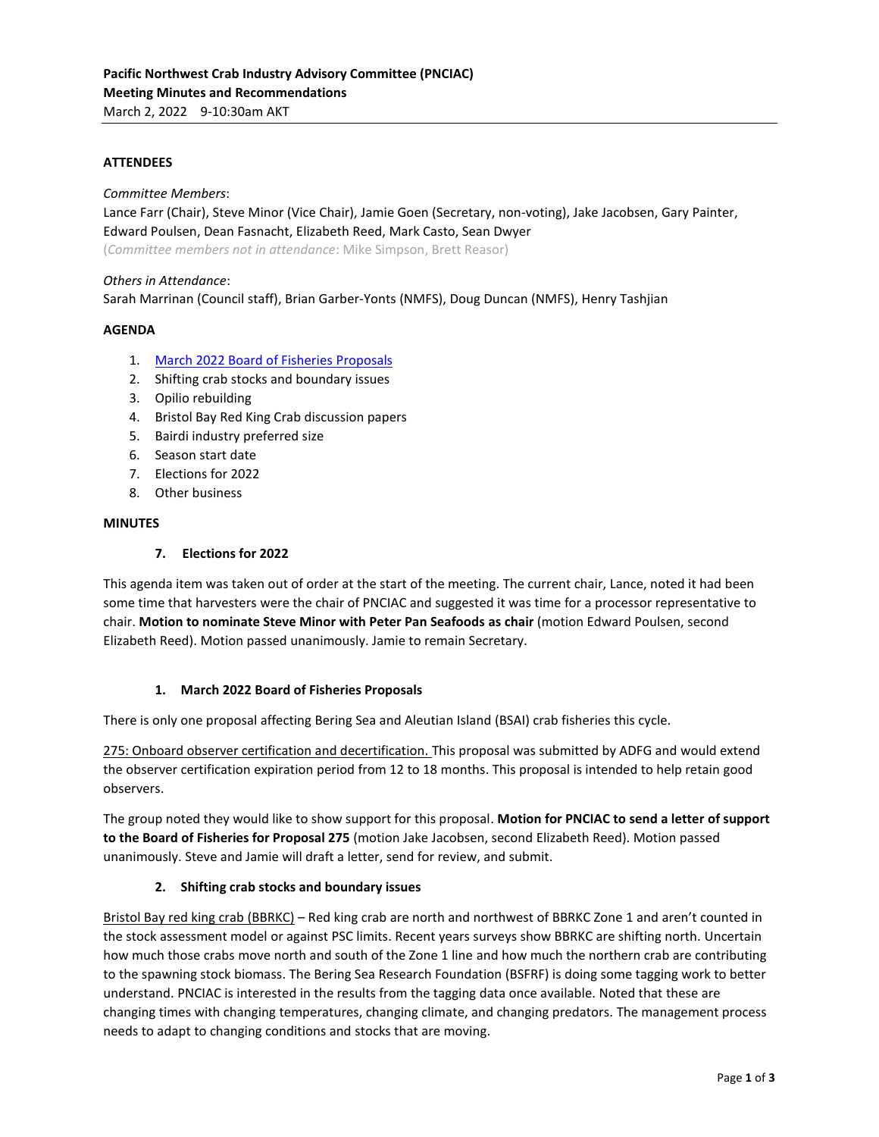### **ATTENDEES**

*Committee Members*:

Lance Farr (Chair), Steve Minor (Vice Chair), Jamie Goen (Secretary, non-voting), Jake Jacobsen, Gary Painter, Edward Poulsen, Dean Fasnacht, Elizabeth Reed, Mark Casto, Sean Dwyer

(*Committee members not in attendance*: Mike Simpson, Brett Reasor)

### *Others in Attendance*:

Sarah Marrinan (Council staff), Brian Garber-Yonts (NMFS), Doug Duncan (NMFS), Henry Tashjian

### **AGENDA**

- 1. [March 2022 Board of Fisheries Proposals](http://www.adfg.alaska.gov/index.cfm?adfg=fisheriesboard.meetinginfo&date=03-26-2022&meeting=anchorage#,fixed,,5,)
- 2. Shifting crab stocks and boundary issues
- 3. Opilio rebuilding
- 4. Bristol Bay Red King Crab discussion papers
- 5. Bairdi industry preferred size
- 6. Season start date
- 7. Elections for 2022
- 8. Other business

#### **MINUTES**

#### **7. Elections for 2022**

This agenda item was taken out of order at the start of the meeting. The current chair, Lance, noted it had been some time that harvesters were the chair of PNCIAC and suggested it was time for a processor representative to chair. **Motion to nominate Steve Minor with Peter Pan Seafoods as chair** (motion Edward Poulsen, second Elizabeth Reed). Motion passed unanimously. Jamie to remain Secretary.

#### **1. March 2022 Board of Fisheries Proposals**

There is only one proposal affecting Bering Sea and Aleutian Island (BSAI) crab fisheries this cycle.

275: Onboard observer certification and decertification. This proposal was submitted by ADFG and would extend the observer certification expiration period from 12 to 18 months. This proposal is intended to help retain good observers.

The group noted they would like to show support for this proposal. **Motion for PNCIAC to send a letter of support to the Board of Fisheries for Proposal 275** (motion Jake Jacobsen, second Elizabeth Reed). Motion passed unanimously. Steve and Jamie will draft a letter, send for review, and submit.

### **2. Shifting crab stocks and boundary issues**

Bristol Bay red king crab (BBRKC) – Red king crab are north and northwest of BBRKC Zone 1 and aren't counted in the stock assessment model or against PSC limits. Recent years surveys show BBRKC are shifting north. Uncertain how much those crabs move north and south of the Zone 1 line and how much the northern crab are contributing to the spawning stock biomass. The Bering Sea Research Foundation (BSFRF) is doing some tagging work to better understand. PNCIAC is interested in the results from the tagging data once available. Noted that these are changing times with changing temperatures, changing climate, and changing predators. The management process needs to adapt to changing conditions and stocks that are moving.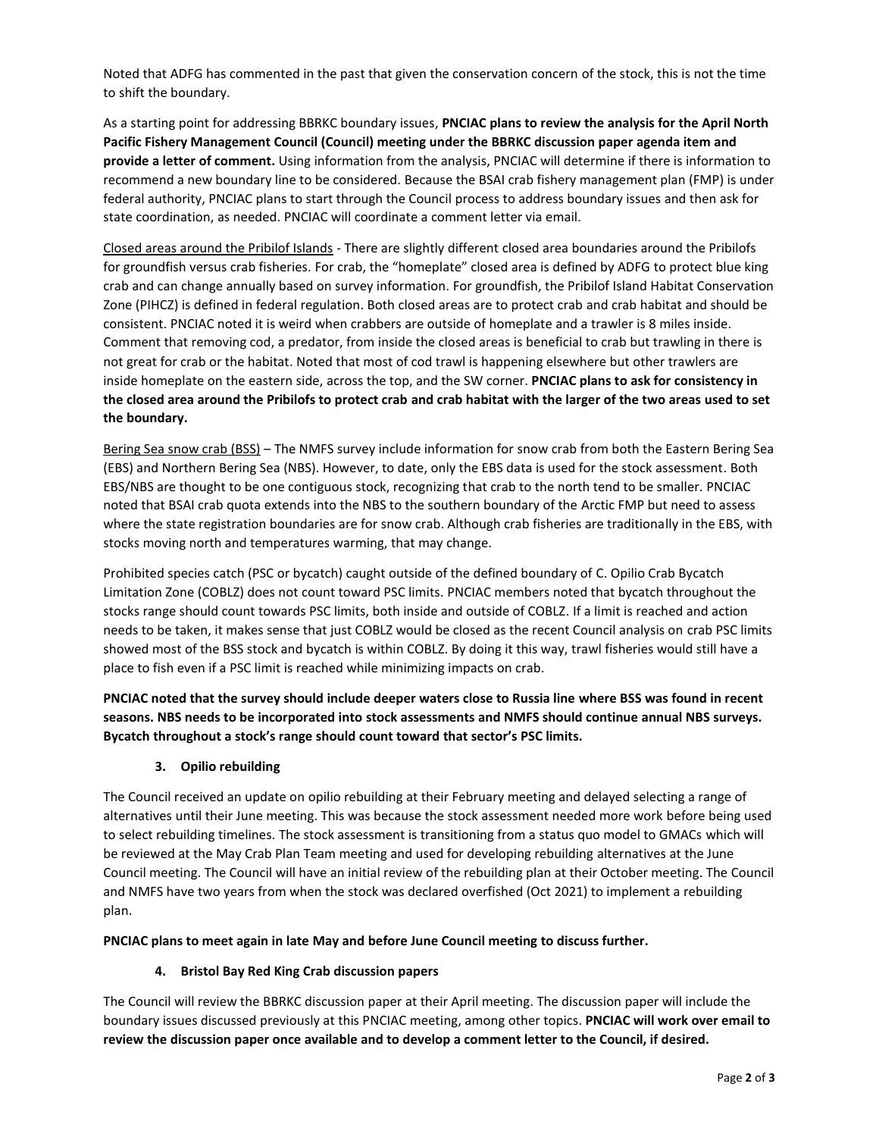Noted that ADFG has commented in the past that given the conservation concern of the stock, this is not the time to shift the boundary.

As a starting point for addressing BBRKC boundary issues, **PNCIAC plans to review the analysis for the April North Pacific Fishery Management Council (Council) meeting under the BBRKC discussion paper agenda item and provide a letter of comment.** Using information from the analysis, PNCIAC will determine if there is information to recommend a new boundary line to be considered. Because the BSAI crab fishery management plan (FMP) is under federal authority, PNCIAC plans to start through the Council process to address boundary issues and then ask for state coordination, as needed. PNCIAC will coordinate a comment letter via email.

Closed areas around the Pribilof Islands - There are slightly different closed area boundaries around the Pribilofs for groundfish versus crab fisheries. For crab, the "homeplate" closed area is defined by ADFG to protect blue king crab and can change annually based on survey information. For groundfish, the Pribilof Island Habitat Conservation Zone (PIHCZ) is defined in federal regulation. Both closed areas are to protect crab and crab habitat and should be consistent. PNCIAC noted it is weird when crabbers are outside of homeplate and a trawler is 8 miles inside. Comment that removing cod, a predator, from inside the closed areas is beneficial to crab but trawling in there is not great for crab or the habitat. Noted that most of cod trawl is happening elsewhere but other trawlers are inside homeplate on the eastern side, across the top, and the SW corner. **PNCIAC plans to ask for consistency in the closed area around the Pribilofs to protect crab and crab habitat with the larger of the two areas used to set the boundary.**

Bering Sea snow crab (BSS) – The NMFS survey include information for snow crab from both the Eastern Bering Sea (EBS) and Northern Bering Sea (NBS). However, to date, only the EBS data is used for the stock assessment. Both EBS/NBS are thought to be one contiguous stock, recognizing that crab to the north tend to be smaller. PNCIAC noted that BSAI crab quota extends into the NBS to the southern boundary of the Arctic FMP but need to assess where the state registration boundaries are for snow crab. Although crab fisheries are traditionally in the EBS, with stocks moving north and temperatures warming, that may change.

Prohibited species catch (PSC or bycatch) caught outside of the defined boundary of C. Opilio Crab Bycatch Limitation Zone (COBLZ) does not count toward PSC limits. PNCIAC members noted that bycatch throughout the stocks range should count towards PSC limits, both inside and outside of COBLZ. If a limit is reached and action needs to be taken, it makes sense that just COBLZ would be closed as the recent Council analysis on crab PSC limits showed most of the BSS stock and bycatch is within COBLZ. By doing it this way, trawl fisheries would still have a place to fish even if a PSC limit is reached while minimizing impacts on crab.

**PNCIAC noted that the survey should include deeper waters close to Russia line where BSS was found in recent seasons. NBS needs to be incorporated into stock assessments and NMFS should continue annual NBS surveys. Bycatch throughout a stock's range should count toward that sector's PSC limits.** 

# **3. Opilio rebuilding**

The Council received an update on opilio rebuilding at their February meeting and delayed selecting a range of alternatives until their June meeting. This was because the stock assessment needed more work before being used to select rebuilding timelines. The stock assessment is transitioning from a status quo model to GMACs which will be reviewed at the May Crab Plan Team meeting and used for developing rebuilding alternatives at the June Council meeting. The Council will have an initial review of the rebuilding plan at their October meeting. The Council and NMFS have two years from when the stock was declared overfished (Oct 2021) to implement a rebuilding plan.

**PNCIAC plans to meet again in late May and before June Council meeting to discuss further.**

## **4. Bristol Bay Red King Crab discussion papers**

The Council will review the BBRKC discussion paper at their April meeting. The discussion paper will include the boundary issues discussed previously at this PNCIAC meeting, among other topics. **PNCIAC will work over email to review the discussion paper once available and to develop a comment letter to the Council, if desired.**